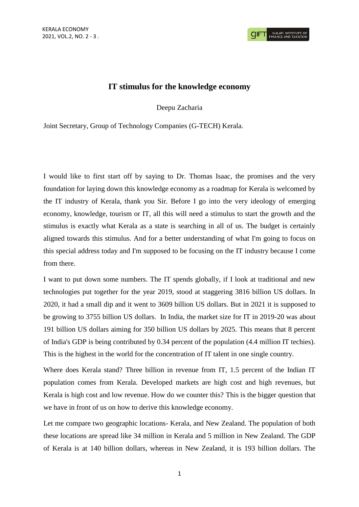## **IT stimulus for the knowledge economy**

Deepu Zacharia

Joint Secretary, Group of Technology Companies (G-TECH) Kerala.

I would like to first start off by saying to Dr. Thomas Isaac, the promises and the very foundation for laying down this knowledge economy as a roadmap for Kerala is welcomed by the IT industry of Kerala, thank you Sir. Before I go into the very ideology of emerging economy, knowledge, tourism or IT, all this will need a stimulus to start the growth and the stimulus is exactly what Kerala as a state is searching in all of us. The budget is certainly aligned towards this stimulus. And for a better understanding of what I'm going to focus on this special address today and I'm supposed to be focusing on the IT industry because I come from there.

I want to put down some numbers. The IT spends globally, if I look at traditional and new technologies put together for the year 2019, stood at staggering 3816 billion US dollars. In 2020, it had a small dip and it went to 3609 billion US dollars. But in 2021 it is supposed to be growing to 3755 billion US dollars. In India, the market size for IT in 2019-20 was about 191 billion US dollars aiming for 350 billion US dollars by 2025. This means that 8 percent of India's GDP is being contributed by 0.34 percent of the population (4.4 million IT techies). This is the highest in the world for the concentration of IT talent in one single country.

Where does Kerala stand? Three billion in revenue from IT, 1.5 percent of the Indian IT population comes from Kerala. Developed markets are high cost and high revenues, but Kerala is high cost and low revenue. How do we counter this? This is the bigger question that we have in front of us on how to derive this knowledge economy.

Let me compare two geographic locations- Kerala, and New Zealand. The population of both these locations are spread like 34 million in Kerala and 5 million in New Zealand. The GDP of Kerala is at 140 billion dollars, whereas in New Zealand, it is 193 billion dollars. The